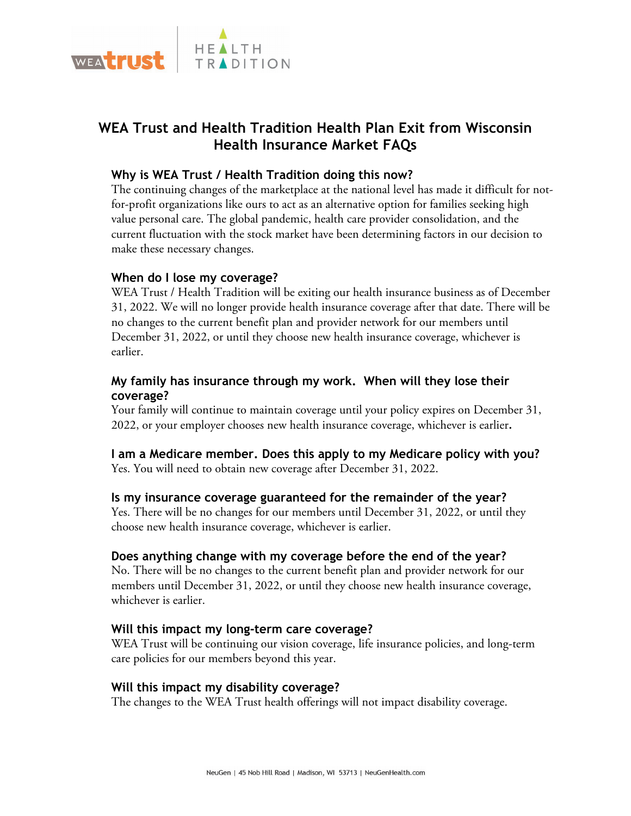

# **WEA Trust and Health Tradition Health Plan Exit from Wisconsin Health Insurance Market FAQs**

# **Why is WEA Trust / Health Tradition doing this now?**

The continuing changes of the marketplace at the national level has made it difficult for notfor-profit organizations like ours to act as an alternative option for families seeking high value personal care. The global pandemic, health care provider consolidation, and the current fluctuation with the stock market have been determining factors in our decision to make these necessary changes.

# **When do I lose my coverage?**

WEA Trust / Health Tradition will be exiting our health insurance business as of December 31, 2022. We will no longer provide health insurance coverage after that date. There will be no changes to the current benefit plan and provider network for our members until December 31, 2022, or until they choose new health insurance coverage, whichever is earlier.

# **My family has insurance through my work. When will they lose their coverage?**

Your family will continue to maintain coverage until your policy expires on December 31, 2022, or your employer chooses new health insurance coverage, whichever is earlier*.*

# **I am a Medicare member. Does this apply to my Medicare policy with you?**  Yes. You will need to obtain new coverage after December 31, 2022.

## **Is my insurance coverage guaranteed for the remainder of the year?**

Yes. There will be no changes for our members until December 31, 2022, or until they choose new health insurance coverage, whichever is earlier.

# **Does anything change with my coverage before the end of the year?**

No. There will be no changes to the current benefit plan and provider network for our members until December 31, 2022, or until they choose new health insurance coverage, whichever is earlier.

#### **Will this impact my long-term care coverage?**

WEA Trust will be continuing our vision coverage, life insurance policies, and long-term care policies for our members beyond this year.

#### **Will this impact my disability coverage?**

The changes to the WEA Trust health offerings will not impact disability coverage.